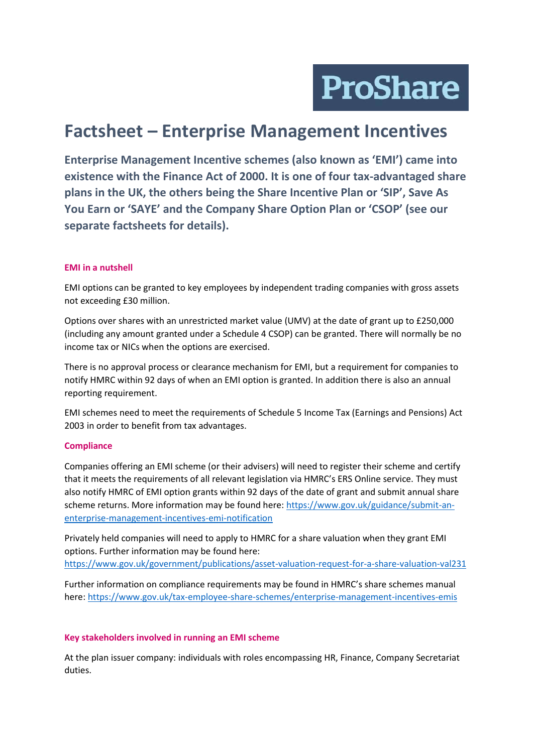**ProShare** 

# **Factsheet – Enterprise Management Incentives**

**Enterprise Management Incentive schemes (also known as 'EMI') came into existence with the Finance Act of 2000. It is one of four tax-advantaged share plans in the UK, the others being the Share Incentive Plan or 'SIP', Save As You Earn or 'SAYE' and the Company Share Option Plan or 'CSOP' (see our separate factsheets for details).** 

### **EMI in a nutshell**

EMI options can be granted to key employees by independent trading companies with gross assets not exceeding £30 million.

Options over shares with an unrestricted market value (UMV) at the date of grant up to £250,000 (including any amount granted under a Schedule 4 CSOP) can be granted. There will normally be no income tax or NICs when the options are exercised.

There is no approval process or clearance mechanism for EMI, but a requirement for companies to notify HMRC within 92 days of when an EMI option is granted. In addition there is also an annual reporting requirement.

EMI schemes need to meet the requirements of Schedule 5 Income Tax (Earnings and Pensions) Act 2003 in order to benefit from tax advantages.

### **Compliance**

Companies offering an EMI scheme (or their advisers) will need to register their scheme and certify that it meets the requirements of all relevant legislation via HMRC's ERS Online service. They must also notify HMRC of EMI option grants within 92 days of the date of grant and submit annual share scheme returns. More information may be found here: [https://www.gov.uk/guidance/submit-an](https://www.gov.uk/guidance/submit-an-enterprise-management-incentives-emi-notification)[enterprise-management-incentives-emi-notification](https://www.gov.uk/guidance/submit-an-enterprise-management-incentives-emi-notification)

Privately held companies will need to apply to HMRC for a share valuation when they grant EMI options. Further information may be found here: <https://www.gov.uk/government/publications/asset-valuation-request-for-a-share-valuation-val231>

Further information on compliance requirements may be found in HMRC's share schemes manual here:<https://www.gov.uk/tax-employee-share-schemes/enterprise-management-incentives-emis>

### **Key stakeholders involved in running an EMI scheme**

At the plan issuer company: individuals with roles encompassing HR, Finance, Company Secretariat duties.